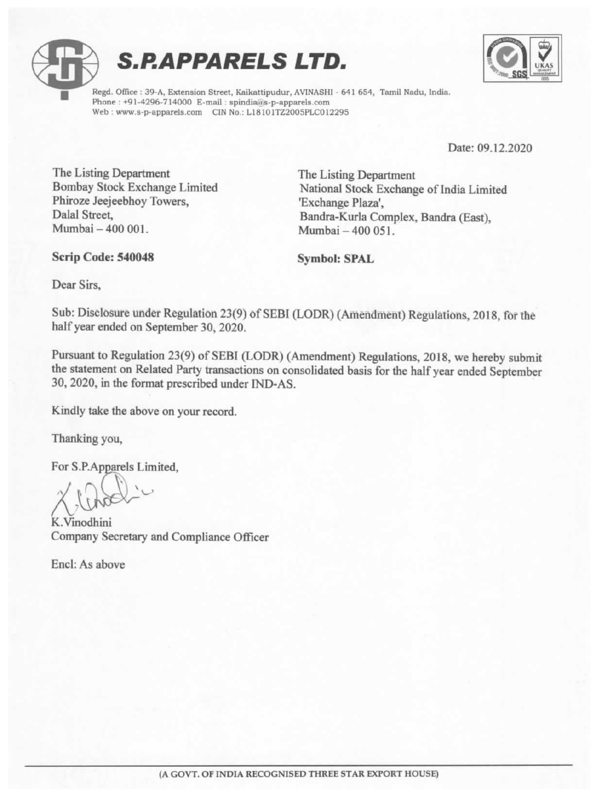





t Regd. Office : 39-A, Extension Street, Kaikattipudur, AVINASHI - 641 654, Tamil Nadu, India. Phone : +91-4296-714000 E-mail : spindia@is-p-apparels.com Web : www.s-p-apparels.com CIN No.: L18101TZ2005PLC012295,

Date: 09.12.2020

÷

The Listing Department<br>
Bombay Stock Exchange Limited<br>
Phiroze Jeejeebhoy Towers, 'Exchange Plaza',<br>
Dalal Street.<br>
Randra-Kurla Complex Bandra (East) Dalal Street, Bandra-Kurla Complex, Bandra (East), Mumbai — 400 001. Mumbai — 400 051.

Scrip Code: 540048 Symbol: SPAL

Dear Sirs,

Sub: Disclosure under Regulation 23(9) of SEBI (LODR) (Amendment) Regulations, 2018, for the half year ended on September 30, 2020.

Pursuant to Regulation 23(9) of SEBI (LODR) (Amendment) Regulations, 2018, we hereby submit<br>the statement on Related Party transactions on consolidated basis for the half year ended September<br>30, 2020, in the format prescr Mumbai – 400 001.<br>
Scrip Code: 540048<br>
Dear Sirs,<br>
Sub: Disclosure under Regulation 23(9) of SEBI (I<br>
half year ended on September 30, 2020.<br>
Pursuant to Regulation 23(9) of SEBI (LODR) (A<br>
the statement on Related Party t

Kindly take the above on your record.

Thanking you,

For S.P.Apparels Limited,

K.Vinodhini Company Secretary and Compliance Officer

Encl: As above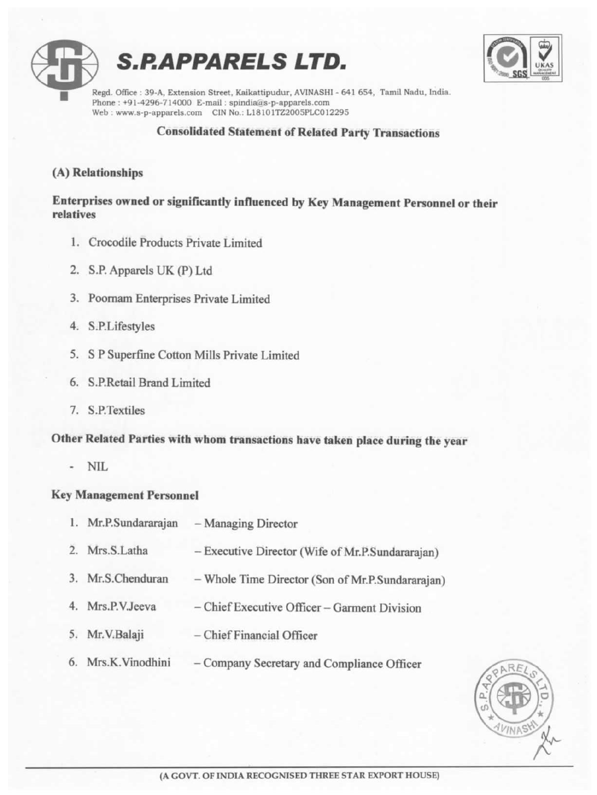



t Regd. Office : 39-A, Extension Street, Kaikattipudur, AVINASHI - 641 654, Tamil Nadu, India. Phone : +91-4296-714000 E-mail : spindia@s-p-apparels.com Web : www.s-p-apparels.com CIN No.: L18101TZ2005PLC012295

#### Consolidated Statement of Related Party Transactions

#### (A) Relationships

Enterprises owned or significantly influenced by Key Management Personnel or their relatives

- 1. Crocodile Products Private Limited
- 2. S.P. Apparels UK (P) Ltd
- 3. Poornam Enterprises Private Limited
- 4. S.P.Lifestyles
- 5. S P Superfine Cotton Mills Private Limited
- 6. S.P.Retail Brand Limited
- 7. S.P.Textiles

# Other Related Parties with whom transactions have taken place during the year

- NIL

### Key Management Personnel

- 1. Mr.P.Sundararajan Managing Director
- 2. Mrs.S.Latha Executive Director (Wife of Mr.P.Sundararajan)
- 3. Mr.S.Chenduran Whole Time Director (Son of Mr.P.Sundararajan) 1. Crocodile Products Private Limited<br>
2. S.P. Apparels UK (P) Ltd<br>
3. Poornam Enterprises Private Limited<br>
4. S.P.Lifestyles<br>
5. S P Superfine Cotton Mills Private Limited<br>
6. S.P.Retail Brand Limited<br>
7. S.P.Textiles<br>
Ot
	- 4. Mrs.P.V.Jeeva Chief Executive Officer Garment Division
	- 5. Mr.V.Balaji Chief Financial Officer
	- 6. Mrs.K.Vinodhini Company Secretary and Compliance Officer